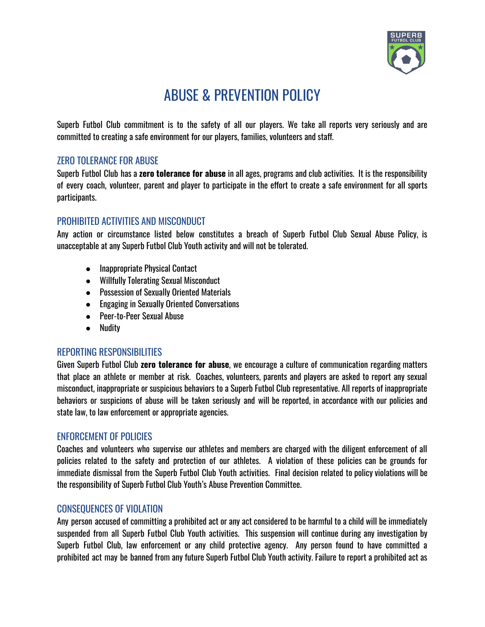

# ABUSE & PREVENTION POLICY

Superb Futbol Club commitment is to the safety of all our players. We take all reports very seriously and are committed to creating a safe environment for our players, families, volunteers and staff.

## ZERO TOLERANCE FOR ABUSE

Superb Futbol Club has a **zero tolerance for abuse** in all ages, programs and club activities. It is the responsibility of every coach, volunteer, parent and player to participate in the effort to create a safe environment for all sports participants.

## PROHIBITED ACTIVITIES AND MISCONDUCT

Any action or circumstance listed below constitutes a breach of Superb Futbol Club Sexual Abuse Policy, is unacceptable at any Superb Futbol Club Youth activity and will not be tolerated.

- Inappropriate Physical Contact
- Willfully Tolerating Sexual Misconduct
- Possession of Sexually Oriented Materials
- Engaging in Sexually Oriented Conversations
- Peer-to-Peer Sexual Abuse
- Nudity

## REPORTING RESPONSIBILITIES

Given Superb Futbol Club **zero tolerance for abuse**, we encourage a culture of communication regarding matters that place an athlete or member at risk. Coaches, volunteers, parents and players are asked to report any sexual misconduct, inappropriate or suspicious behaviors to a Superb Futbol Club representative. All reports of inappropriate behaviors or suspicions of abuse will be taken seriously and will be reported, in accordance with our policies and state law, to law enforcement or appropriate agencies.

## ENFORCEMENT OF POLICIES

Coaches and volunteers who supervise our athletes and members are charged with the diligent enforcement of all policies related to the safety and protection of our athletes. A violation of these policies can be grounds for immediate dismissal from the Superb Futbol Club Youth activities. Final decision related to policy violations will be the responsibility of Superb Futbol Club Youth's Abuse Prevention Committee.

## CONSEQUENCES OF VIOLATION

Any person accused of committing a prohibited act or any act considered to be harmful to a child will be immediately suspended from all Superb Futbol Club Youth activities. This suspension will continue during any investigation by Superb Futbol Club, law enforcement or any child protective agency. Any person found to have committed a prohibited act may be banned from any future Superb Futbol Club Youth activity. Failure to report a prohibited act as